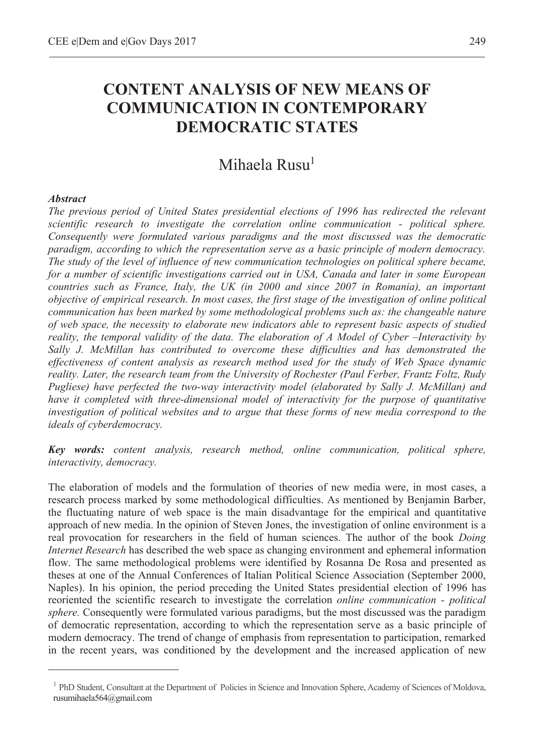## **CONTENT ANALYSIS OF NEW MEANS OF COMMUNICATION IN CONTEMPORARY DEMOCRATIC STATES**

## Mihaela Rusu<sup>1</sup>

## *Abstract*

 $\overline{a}$ 

*The previous period of United States presidential elections of 1996 has redirected the relevant scientific research to investigate the correlation online communication - political sphere. Consequently were formulated various paradigms and the most discussed was the democratic paradigm, according to which the representation serve as a basic principle of modern democracy. The study of the level of influence of new communication technologies on political sphere became, for a number of scientific investigations carried out in USA, Canada and later in some European countries such as France, Italy, the UK (in 2000 and since 2007 in Romania), an important objective of empirical research. In most cases, the first stage of the investigation of online political communication has been marked by some methodological problems such as: the changeable nature of web space, the necessity to elaborate new indicators able to represent basic aspects of studied reality, the temporal validity of the data. The elaboration of A Model of Cyber –Interactivity by Sally J. McMillan has contributed to overcome these difficulties and has demonstrated the effectiveness of content analysis as research method used for the study of Web Space dynamic reality. Later, the research team from the University of Rochester (Paul Ferber, Frantz Foltz, Rudy Pugliese) have perfected the two-way interactivity model (elaborated by Sally J. McMillan) and have it completed with three-dimensional model of interactivity for the purpose of quantitative investigation of political websites and to argue that these forms of new media correspond to the ideals of cyberdemocracy.* 

*Key words: content analysis, research method, online communication, political sphere, interactivity, democracy.* 

The elaboration of models and the formulation of theories of new media were, in most cases, a research process marked by some methodological difficulties. As mentioned by Benjamin Barber, the fluctuating nature of web space is the main disadvantage for the empirical and quantitative approach of new media. In the opinion of Steven Jones, the investigation of online environment is a real provocation for researchers in the field of human sciences. The author of the book *Doing Internet Research* has described the web space as changing environment and ephemeral information flow. The same methodological problems were identified by Rosanna De Rosa and presented as theses at one of the Annual Conferences of Italian Political Science Association (September 2000, Naples). In his opinion, the period preceding the United States presidential election of 1996 has reoriented the scientific research to investigate the correlation *online communication - political sphere.* Consequently were formulated various paradigms, but the most discussed was the paradigm of democratic representation, according to which the representation serve as a basic principle of modern democracy. The trend of change of emphasis from representation to participation, remarked in the recent years, was conditioned by the development and the increased application of new

<sup>&</sup>lt;sup>1</sup> PhD Student, Consultant at the Department of Policies in Science and Innovation Sphere, Academy of Sciences of Moldova, rusumihaela564@gmail.com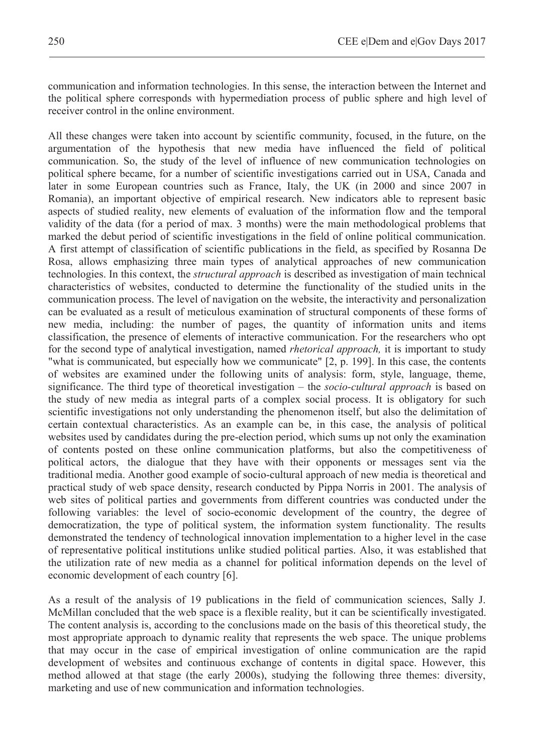communication and information technologies. In this sense, the interaction between the Internet and the political sphere corresponds with hypermediation process of public sphere and high level of receiver control in the online environment.

All these changes were taken into account by scientific community, focused, in the future, on the argumentation of the hypothesis that new media have influenced the field of political communication. So, the study of the level of influence of new communication technologies on political sphere became, for a number of scientific investigations carried out in USA, Canada and later in some European countries such as France, Italy, the UK (in 2000 and since 2007 in Romania), an important objective of empirical research. New indicators able to represent basic aspects of studied reality, new elements of evaluation of the information flow and the temporal validity of the data (for a period of max. 3 months) were the main methodological problems that marked the debut period of scientific investigations in the field of online political communication. A first attempt of classification of scientific publications in the field, as specified by Rosanna De Rosa, allows emphasizing three main types of analytical approaches of new communication technologies. In this context, the *structural approach* is described as investigation of main technical characteristics of websites, conducted to determine the functionality of the studied units in the communication process. The level of navigation on the website, the interactivity and personalization can be evaluated as a result of meticulous examination of structural components of these forms of new media, including: the number of pages, the quantity of information units and items classification, the presence of elements of interactive communication. For the researchers who opt for the second type of analytical investigation, named *rhetorical approach,* it is important to study "what is communicated, but especially how we communicate" [2, p. 199]. In this case, the contents of websites are examined under the following units of analysis: form, style, language, theme, significance. The third type of theoretical investigation – the *socio-cultural approach* is based on the study of new media as integral parts of a complex social process. It is obligatory for such scientific investigations not only understanding the phenomenon itself, but also the delimitation of certain contextual characteristics. As an example can be, in this case, the analysis of political websites used by candidates during the pre-election period, which sums up not only the examination of contents posted on these online communication platforms, but also the competitiveness of political actors, the dialogue that they have with their opponents or messages sent via the traditional media. Another good example of socio-cultural approach of new media is theoretical and practical study of web space density, research conducted by Pippa Norris in 2001. The analysis of web sites of political parties and governments from different countries was conducted under the following variables: the level of socio-economic development of the country, the degree of democratization, the type of political system, the information system functionality. The results demonstrated the tendency of technological innovation implementation to a higher level in the case of representative political institutions unlike studied political parties. Also, it was established that the utilization rate of new media as a channel for political information depends on the level of economic development of each country [6].

As a result of the analysis of 19 publications in the field of communication sciences, Sally J. McMillan concluded that the web space is a flexible reality, but it can be scientifically investigated. The content analysis is, according to the conclusions made on the basis of this theoretical study, the most appropriate approach to dynamic reality that represents the web space. The unique problems that may occur in the case of empirical investigation of online communication are the rapid development of websites and continuous exchange of contents in digital space. However, this method allowed at that stage (the early 2000s), studying the following three themes: diversity, marketing and use of new communication and information technologies.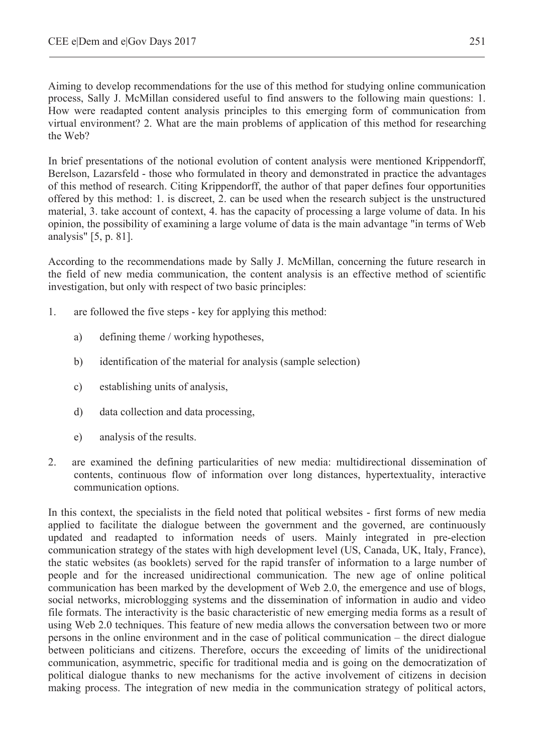Aiming to develop recommendations for the use of this method for studying online communication process, Sally J. McMillan considered useful to find answers to the following main questions: 1. How were readapted content analysis principles to this emerging form of communication from virtual environment? 2. What are the main problems of application of this method for researching the Web?

In brief presentations of the notional evolution of content analysis were mentioned Krippendorff, Berelson, Lazarsfeld - those who formulated in theory and demonstrated in practice the advantages of this method of research. Citing Krippendorff, the author of that paper defines four opportunities offered by this method: 1. is discreet, 2. can be used when the research subject is the unstructured material, 3. take account of context, 4. has the capacity of processing a large volume of data. In his opinion, the possibility of examining a large volume of data is the main advantage "in terms of Web analysis" [5, p. 81].

According to the recommendations made by Sally J. McMillan, concerning the future research in the field of new media communication, the content analysis is an effective method of scientific investigation, but only with respect of two basic principles:

- 1. are followed the five steps key for applying this method:
	- a) defining theme / working hypotheses,
	- b) identification of the material for analysis (sample selection)
	- c) establishing units of analysis,
	- d) data collection and data processing,
	- e) analysis of the results.
- 2. are examined the defining particularities of new media: multidirectional dissemination of contents, continuous flow of information over long distances, hypertextuality, interactive communication options.

In this context, the specialists in the field noted that political websites - first forms of new media applied to facilitate the dialogue between the government and the governed, are continuously updated and readapted to information needs of users. Mainly integrated in pre-election communication strategy of the states with high development level (US, Canada, UK, Italy, France), the static websites (as booklets) served for the rapid transfer of information to a large number of people and for the increased unidirectional communication. The new age of online political communication has been marked by the development of Web 2.0, the emergence and use of blogs, social networks, microblogging systems and the dissemination of information in audio and video file formats. The interactivity is the basic characteristic of new emerging media forms as a result of using Web 2.0 techniques. This feature of new media allows the conversation between two or more persons in the online environment and in the case of political communication – the direct dialogue between politicians and citizens. Therefore, occurs the exceeding of limits of the unidirectional communication, asymmetric, specific for traditional media and is going on the democratization of political dialogue thanks to new mechanisms for the active involvement of citizens in decision making process. The integration of new media in the communication strategy of political actors,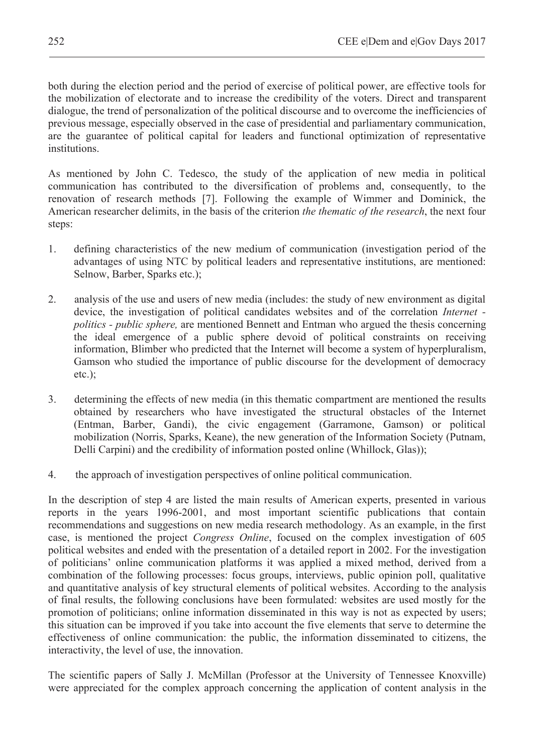both during the election period and the period of exercise of political power, are effective tools for the mobilization of electorate and to increase the credibility of the voters. Direct and transparent dialogue, the trend of personalization of the political discourse and to overcome the inefficiencies of previous message, especially observed in the case of presidential and parliamentary communication, are the guarantee of political capital for leaders and functional optimization of representative institutions.

As mentioned by John C. Tedesco, the study of the application of new media in political communication has contributed to the diversification of problems and, consequently, to the renovation of research methods [7]. Following the example of Wimmer and Dominick, the American researcher delimits, in the basis of the criterion *the thematic of the research*, the next four steps:

- 1. defining characteristics of the new medium of communication (investigation period of the advantages of using NTC by political leaders and representative institutions, are mentioned: Selnow, Barber, Sparks etc.);
- 2. analysis of the use and users of new media (includes: the study of new environment as digital device, the investigation of political candidates websites and of the correlation *Internet politics - public sphere,* are mentioned Bennett and Entman who argued the thesis concerning the ideal emergence of a public sphere devoid of political constraints on receiving information, Blimber who predicted that the Internet will become a system of hyperpluralism, Gamson who studied the importance of public discourse for the development of democracy etc.);
- 3. determining the effects of new media (in this thematic compartment are mentioned the results obtained by researchers who have investigated the structural obstacles of the Internet (Entman, Barber, Gandi), the civic engagement (Garramone, Gamson) or political mobilization (Norris, Sparks, Keane), the new generation of the Information Society (Putnam, Delli Carpini) and the credibility of information posted online (Whillock, Glas));
- 4. the approach of investigation perspectives of online political communication.

In the description of step 4 are listed the main results of American experts, presented in various reports in the years 1996-2001, and most important scientific publications that contain recommendations and suggestions on new media research methodology. As an example, in the first case, is mentioned the project *Congress Online*, focused on the complex investigation of 605 political websites and ended with the presentation of a detailed report in 2002. For the investigation of politicians' online communication platforms it was applied a mixed method, derived from a combination of the following processes: focus groups, interviews, public opinion poll, qualitative and quantitative analysis of key structural elements of political websites. According to the analysis of final results, the following conclusions have been formulated: websites are used mostly for the promotion of politicians; online information disseminated in this way is not as expected by users; this situation can be improved if you take into account the five elements that serve to determine the effectiveness of online communication: the public, the information disseminated to citizens, the interactivity, the level of use, the innovation.

The scientific papers of Sally J. McMillan (Professor at the University of Tennessee Knoxville) were appreciated for the complex approach concerning the application of content analysis in the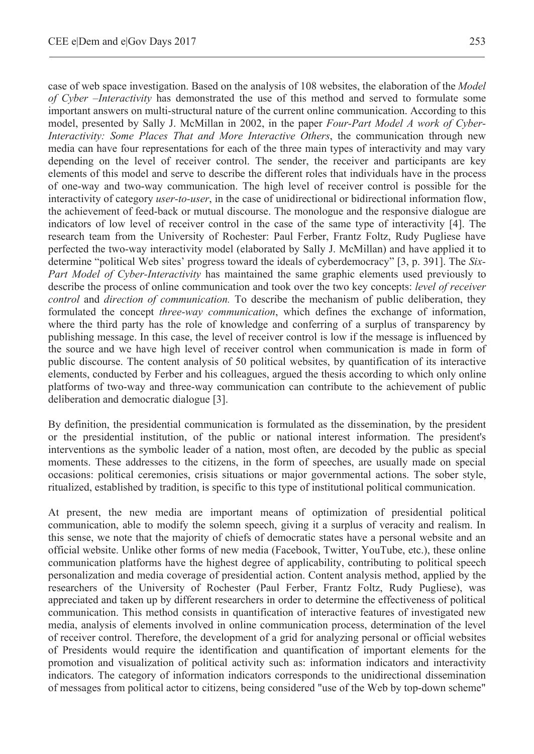case of web space investigation. Based on the analysis of 108 websites, the elaboration of the *Model of Cyber –Interactivity* has demonstrated the use of this method and served to formulate some important answers on multi-structural nature of the current online communication. According to this model, presented by Sally J. McMillan in 2002, in the paper *Four-Part Model A work of Cyber-Interactivity: Some Places That and More Interactive Others*, the communication through new media can have four representations for each of the three main types of interactivity and may vary depending on the level of receiver control. The sender, the receiver and participants are key elements of this model and serve to describe the different roles that individuals have in the process of one-way and two-way communication. The high level of receiver control is possible for the interactivity of category *user-to-user*, in the case of unidirectional or bidirectional information flow, the achievement of feed-back or mutual discourse. The monologue and the responsive dialogue are indicators of low level of receiver control in the case of the same type of interactivity [4]. The research team from the University of Rochester: Paul Ferber, Frantz Foltz, Rudy Pugliese have perfected the two-way interactivity model (elaborated by Sally J. McMillan) and have applied it to determine "political Web sites' progress toward the ideals of cyberdemocracy" [3, p. 391]. The *Six-Part Model of Cyber-Interactivity* has maintained the same graphic elements used previously to describe the process of online communication and took over the two key concepts: *level of receiver control* and *direction of communication.* To describe the mechanism of public deliberation, they formulated the concept *three-way communication*, which defines the exchange of information, where the third party has the role of knowledge and conferring of a surplus of transparency by publishing message. In this case, the level of receiver control is low if the message is influenced by the source and we have high level of receiver control when communication is made in form of public discourse. The content analysis of 50 political websites, by quantification of its interactive elements, conducted by Ferber and his colleagues, argued the thesis according to which only online platforms of two-way and three-way communication can contribute to the achievement of public deliberation and democratic dialogue [3].

By definition, the presidential communication is formulated as the dissemination, by the president or the presidential institution, of the public or national interest information. The president's interventions as the symbolic leader of a nation, most often, are decoded by the public as special moments. These addresses to the citizens, in the form of speeches, are usually made on special occasions: political ceremonies, crisis situations or major governmental actions. The sober style, ritualized, established by tradition, is specific to this type of institutional political communication.

At present, the new media are important means of optimization of presidential political communication, able to modify the solemn speech, giving it a surplus of veracity and realism. In this sense, we note that the majority of chiefs of democratic states have a personal website and an official website. Unlike other forms of new media (Facebook, Twitter, YouTube, etc.), these online communication platforms have the highest degree of applicability, contributing to political speech personalization and media coverage of presidential action. Content analysis method, applied by the researchers of the University of Rochester (Paul Ferber, Frantz Foltz, Rudy Pugliese), was appreciated and taken up by different researchers in order to determine the effectiveness of political communication. This method consists in quantification of interactive features of investigated new media, analysis of elements involved in online communication process, determination of the level of receiver control. Therefore, the development of a grid for analyzing personal or official websites of Presidents would require the identification and quantification of important elements for the promotion and visualization of political activity such as: information indicators and interactivity indicators. The category of information indicators corresponds to the unidirectional dissemination of messages from political actor to citizens, being considered "use of the Web by top-down scheme"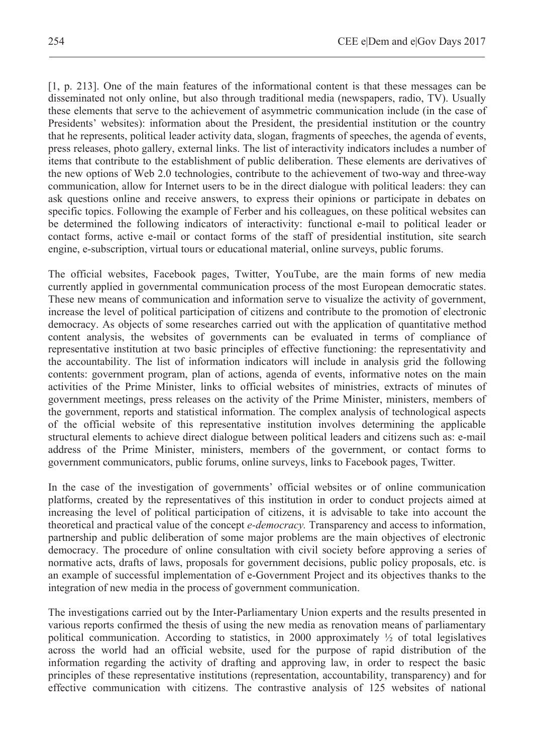[1, p. 213]. One of the main features of the informational content is that these messages can be disseminated not only online, but also through traditional media (newspapers, radio, TV). Usually these elements that serve to the achievement of asymmetric communication include (in the case of Presidents' websites): information about the President, the presidential institution or the country that he represents, political leader activity data, slogan, fragments of speeches, the agenda of events, press releases, photo gallery, external links. The list of interactivity indicators includes a number of items that contribute to the establishment of public deliberation. These elements are derivatives of the new options of Web 2.0 technologies, contribute to the achievement of two-way and three-way communication, allow for Internet users to be in the direct dialogue with political leaders: they can ask questions online and receive answers, to express their opinions or participate in debates on specific topics. Following the example of Ferber and his colleagues, on these political websites can be determined the following indicators of interactivity: functional e-mail to political leader or contact forms, active e-mail or contact forms of the staff of presidential institution, site search engine, e-subscription, virtual tours or educational material, online surveys, public forums.

The official websites, Facebook pages, Twitter, YouTube, are the main forms of new media currently applied in governmental communication process of the most European democratic states. These new means of communication and information serve to visualize the activity of government, increase the level of political participation of citizens and contribute to the promotion of electronic democracy. As objects of some researches carried out with the application of quantitative method content analysis, the websites of governments can be evaluated in terms of compliance of representative institution at two basic principles of effective functioning: the representativity and the accountability. The list of information indicators will include in analysis grid the following contents: government program, plan of actions, agenda of events, informative notes on the main activities of the Prime Minister, links to official websites of ministries, extracts of minutes of government meetings, press releases on the activity of the Prime Minister, ministers, members of the government, reports and statistical information. The complex analysis of technological aspects of the official website of this representative institution involves determining the applicable structural elements to achieve direct dialogue between political leaders and citizens such as: e-mail address of the Prime Minister, ministers, members of the government, or contact forms to government communicators, public forums, online surveys, links to Facebook pages, Twitter.

In the case of the investigation of governments' official websites or of online communication platforms, created by the representatives of this institution in order to conduct projects aimed at increasing the level of political participation of citizens, it is advisable to take into account the theoretical and practical value of the concept *e-democracy.* Transparency and access to information, partnership and public deliberation of some major problems are the main objectives of electronic democracy. The procedure of online consultation with civil society before approving a series of normative acts, drafts of laws, proposals for government decisions, public policy proposals, etc. is an example of successful implementation of e-Government Project and its objectives thanks to the integration of new media in the process of government communication.

The investigations carried out by the Inter-Parliamentary Union experts and the results presented in various reports confirmed the thesis of using the new media as renovation means of parliamentary political communication. According to statistics, in 2000 approximately  $\frac{1}{2}$  of total legislatives across the world had an official website, used for the purpose of rapid distribution of the information regarding the activity of drafting and approving law, in order to respect the basic principles of these representative institutions (representation, accountability, transparency) and for effective communication with citizens. The contrastive analysis of 125 websites of national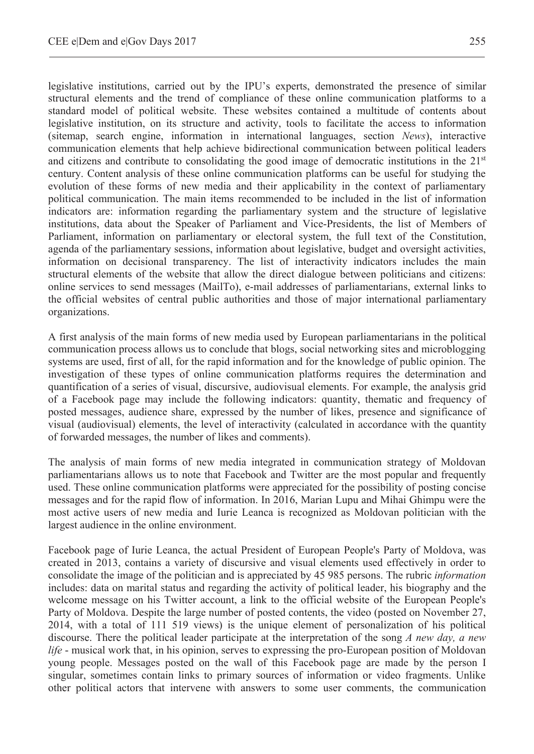legislative institutions, carried out by the IPU's experts, demonstrated the presence of similar structural elements and the trend of compliance of these online communication platforms to a standard model of political website. These websites contained a multitude of contents about legislative institution, on its structure and activity, tools to facilitate the access to information (sitemap, search engine, information in international languages, section *News*), interactive communication elements that help achieve bidirectional communication between political leaders and citizens and contribute to consolidating the good image of democratic institutions in the  $21<sup>st</sup>$ century. Content analysis of these online communication platforms can be useful for studying the evolution of these forms of new media and their applicability in the context of parliamentary political communication. The main items recommended to be included in the list of information indicators are: information regarding the parliamentary system and the structure of legislative institutions, data about the Speaker of Parliament and Vice-Presidents, the list of Members of Parliament, information on parliamentary or electoral system, the full text of the Constitution, agenda of the parliamentary sessions, information about legislative, budget and oversight activities, information on decisional transparency. The list of interactivity indicators includes the main structural elements of the website that allow the direct dialogue between politicians and citizens: online services to send messages (MailTo), e-mail addresses of parliamentarians, external links to the official websites of central public authorities and those of major international parliamentary organizations.

A first analysis of the main forms of new media used by European parliamentarians in the political communication process allows us to conclude that blogs, social networking sites and microblogging systems are used, first of all, for the rapid information and for the knowledge of public opinion. The investigation of these types of online communication platforms requires the determination and quantification of a series of visual, discursive, audiovisual elements. For example, the analysis grid of a Facebook page may include the following indicators: quantity, thematic and frequency of posted messages, audience share, expressed by the number of likes, presence and significance of visual (audiovisual) elements, the level of interactivity (calculated in accordance with the quantity of forwarded messages, the number of likes and comments).

The analysis of main forms of new media integrated in communication strategy of Moldovan parliamentarians allows us to note that Facebook and Twitter are the most popular and frequently used. These online communication platforms were appreciated for the possibility of posting concise messages and for the rapid flow of information. In 2016, Marian Lupu and Mihai Ghimpu were the most active users of new media and Iurie Leanca is recognized as Moldovan politician with the largest audience in the online environment.

Facebook page of Iurie Leanca, the actual President of European People's Party of Moldova, was created in 2013, contains a variety of discursive and visual elements used effectively in order to consolidate the image of the politician and is appreciated by 45 985 persons. The rubric *information* includes: data on marital status and regarding the activity of political leader, his biography and the welcome message on his Twitter account, a link to the official website of the European People's Party of Moldova. Despite the large number of posted contents, the video (posted on November 27, 2014, with a total of 111 519 views) is the unique element of personalization of his political discourse. There the political leader participate at the interpretation of the song *A new day, a new life* - musical work that, in his opinion, serves to expressing the pro-European position of Moldovan young people. Messages posted on the wall of this Facebook page are made by the person I singular, sometimes contain links to primary sources of information or video fragments. Unlike other political actors that intervene with answers to some user comments, the communication